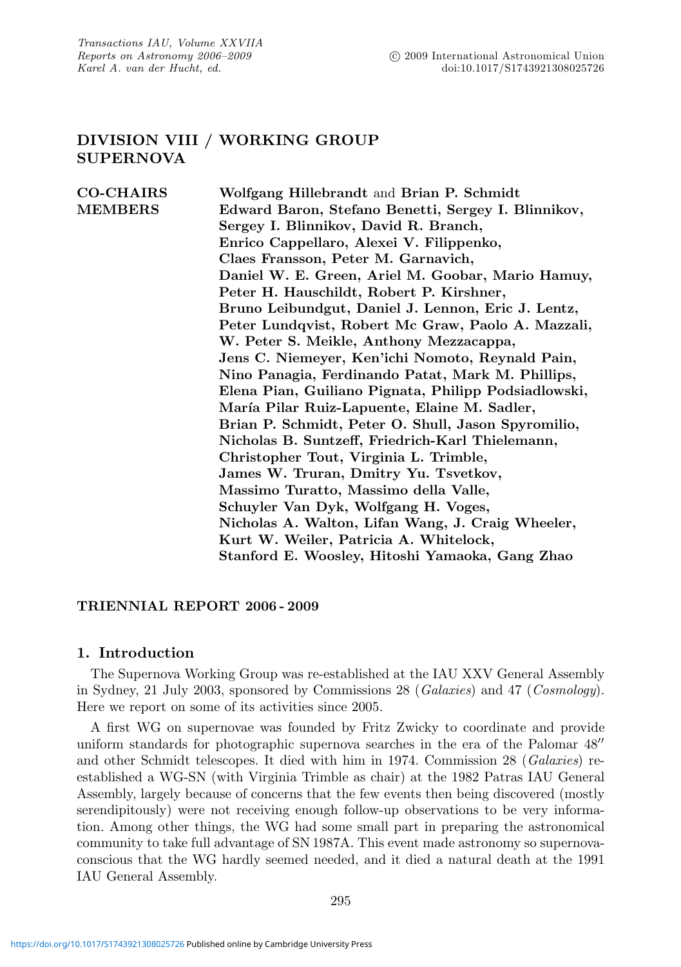Transactions IAU, Volume XXVIIA Reports on Astronomy 2006–2009 Karel A. van der Hucht, ed.

## **DIVISION VIII / WORKING GROUP SUPERNOVA**

# **CO-CHAIRS Wolfgang Hillebrandt** and **Brian P. Schmidt MEMBERS Edward Baron, Stefano Benetti, Sergey I. Blinnikov, Sergey I. Blinnikov, David R. Branch, Enrico Cappellaro, Alexei V. Filippenko, Claes Fransson, Peter M. Garnavich, Daniel W. E. Green, Ariel M. Goobar, Mario Hamuy, Peter H. Hauschildt, Robert P. Kirshner, Bruno Leibundgut, Daniel J. Lennon, Eric J. Lentz, Peter Lundqvist, Robert Mc Graw, Paolo A. Mazzali, W. Peter S. Meikle, Anthony Mezzacappa, Jens C. Niemeyer, Ken'ichi Nomoto, Reynald Pain, Nino Panagia, Ferdinando Patat, Mark M. Phillips, Elena Pian, Guiliano Pignata, Philipp Podsiadlowski, Mar´ıa Pilar Ruiz-Lapuente, Elaine M. Sadler, Brian P. Schmidt, Peter O. Shull, Jason Spyromilio, Nicholas B. Suntzeff, Friedrich-Karl Thielemann, Christopher Tout, Virginia L. Trimble, James W. Truran, Dmitry Yu. Tsvetkov, Massimo Turatto, Massimo della Valle, Schuyler Van Dyk, Wolfgang H. Voges, Nicholas A. Walton, Lifan Wang, J. Craig Wheeler, Kurt W. Weiler, Patricia A. Whitelock, Stanford E. Woosley, Hitoshi Yamaoka, Gang Zhao**

### **TRIENNIAL REPORT 2006 - 2009**

### **1. Introduction**

The Supernova Working Group was re-established at the IAU XXV General Assembly in Sydney, 21 July 2003, sponsored by Commissions 28 (Galaxies) and 47 (Cosmology). Here we report on some of its activities since 2005.

A first WG on supernovae was founded by Fritz Zwicky to coordinate and provide uniform standards for photographic supernova searches in the era of the Palomar 48" and other Schmidt telescopes. It died with him in 1974. Commission 28 (Galaxies) reestablished a WG-SN (with Virginia Trimble as chair) at the 1982 Patras IAU General Assembly, largely because of concerns that the few events then being discovered (mostly serendipitously) were not receiving enough follow-up observations to be very information. Among other things, the WG had some small part in preparing the astronomical community to take full advantage of SN 1987A. This event made astronomy so supernovaconscious that the WG hardly seemed needed, and it died a natural death at the 1991 IAU General Assembly.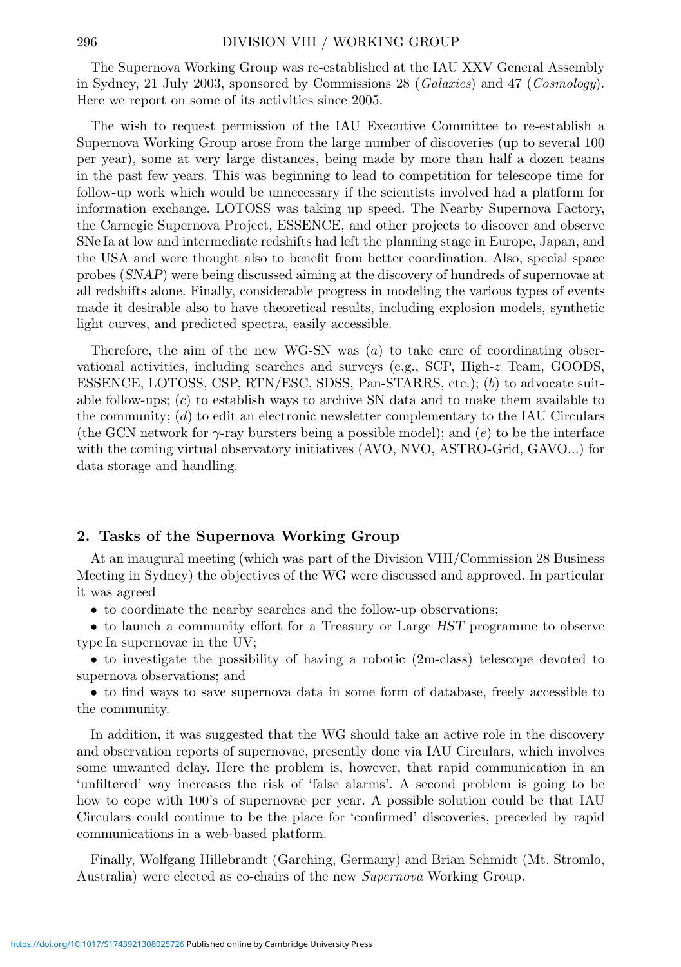#### 296 DIVISION VIII / WORKING GROUP

The Supernova Working Group was re-established at the IAU XXV General Assembly in Sydney, 21 July 2003, sponsored by Commissions 28 (Galaxies) and 47 (Cosmology). Here we report on some of its activities since 2005.

The wish to request permission of the IAU Executive Committee to re-establish a Supernova Working Group arose from the large number of discoveries (up to several 100 per year), some at very large distances, being made by more than half a dozen teams in the past few years. This was beginning to lead to competition for telescope time for follow-up work which would be unnecessary if the scientists involved had a platform for information exchange. LOTOSS was taking up speed. The Nearby Supernova Factory, the Carnegie Supernova Project, ESSENCE, and other projects to discover and observe SNe Ia at low and intermediate redshifts had left the planning stage in Europe, Japan, and the USA and were thought also to benefit from better coordination. Also, special space probes (*SNAP*) were being discussed aiming at the discovery of hundreds of supernovae at all redshifts alone. Finally, considerable progress in modeling the various types of events made it desirable also to have theoretical results, including explosion models, synthetic light curves, and predicted spectra, easily accessible.

Therefore, the aim of the new WG-SN was  $(a)$  to take care of coordinating observational activities, including searches and surveys (e.g., SCP, High-z Team, GOODS, ESSENCE, LOTOSS, CSP, RTN/ESC, SDSS, Pan-STARRS, etc.); (b) to advocate suitable follow-ups;  $(c)$  to establish ways to archive SN data and to make them available to the community; (d) to edit an electronic newsletter complementary to the IAU Circulars (the GCN network for  $\gamma$ -ray bursters being a possible model); and (e) to be the interface with the coming virtual observatory initiatives (AVO, NVO, ASTRO-Grid, GAVO...) for data storage and handling.

## **2. Tasks of the Supernova Working Group**

At an inaugural meeting (which was part of the Division VIII/Commission 28 Business Meeting in Sydney) the objectives of the WG were discussed and approved. In particular it was agreed

• to coordinate the nearby searches and the follow-up observations;

• to launch a community effort for a Treasury or Large *HST* programme to observe type Ia supernovae in the UV;

• to investigate the possibility of having a robotic (2m-class) telescope devoted to supernova observations; and

• to find ways to save supernova data in some form of database, freely accessible to the community.

In addition, it was suggested that the WG should take an active role in the discovery and observation reports of supernovae, presently done via IAU Circulars, which involves some unwanted delay. Here the problem is, however, that rapid communication in an 'unfiltered' way increases the risk of 'false alarms'. A second problem is going to be how to cope with 100's of supernovae per year. A possible solution could be that IAU Circulars could continue to be the place for 'confirmed' discoveries, preceded by rapid communications in a web-based platform.

Finally, Wolfgang Hillebrandt (Garching, Germany) and Brian Schmidt (Mt. Stromlo, Australia) were elected as co-chairs of the new Supernova Working Group.